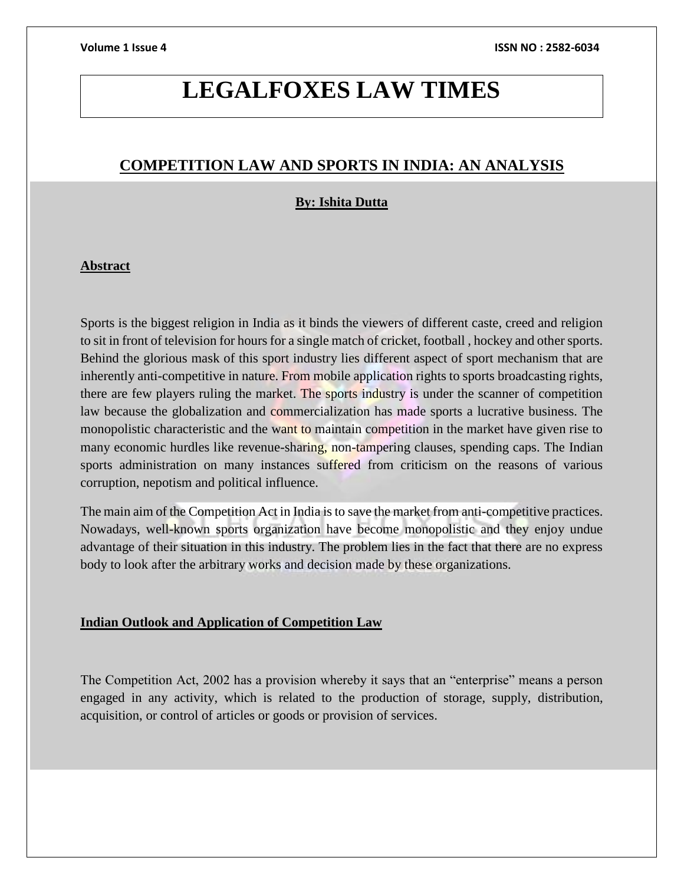# **LEGALFOXES LAW TIMES**

# **COMPETITION LAW AND SPORTS IN INDIA: AN ANALYSIS**

# **By: Ishita Dutta**

## **Abstract**

Sports is the biggest religion in India as it binds the viewers of different caste, creed and religion to sit in front of television for hours for a single match of cricket, football , hockey and other sports. Behind the glorious mask of this sport industry lies different aspect of sport mechanism that are inherently anti-competitive in nature. From mobile application rights to sports broadcasting rights, there are few players ruling the market. The sports industry is under the scanner of competition law because the globalization and commercialization has made sports a lucrative business. The monopolistic characteristic and the want to maintain competition in the market have given rise to many economic hurdles like revenue-sharing, non-tampering clauses, spending caps. The Indian sports administration on many instances suffered from criticism on the reasons of various corruption, nepotism and political influence.

The main aim of the Competition Act in India is to save the market from anti-competitive practices. Nowadays, well-known sports organization have become monopolistic and they enjoy undue advantage of their situation in this industry. The problem lies in the fact that there are no express body to look after the arbitrary works and decision made by these organizations.

# **Indian Outlook and Application of Competition Law**

The Competition Act, 2002 has a provision whereby it says that an "enterprise" means a person engaged in any activity, which is related to the production of storage, supply, distribution, acquisition, or control of articles or goods or provision of services.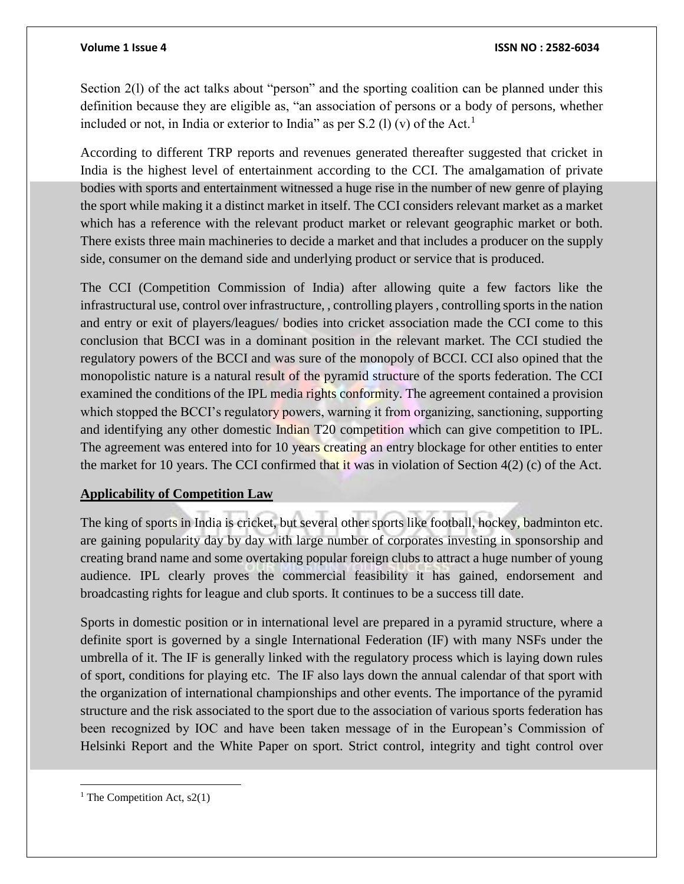Section 2(1) of the act talks about "person" and the sporting coalition can be planned under this definition because they are eligible as, "an association of persons or a body of persons, whether included or not, in India or exterior to India" as per S.2 (l) (v) of the Act.<sup>1</sup>

According to different TRP reports and revenues generated thereafter suggested that cricket in India is the highest level of entertainment according to the CCI. The amalgamation of private bodies with sports and entertainment witnessed a huge rise in the number of new genre of playing the sport while making it a distinct market in itself. The CCI considers relevant market as a market which has a reference with the relevant product market or relevant geographic market or both. There exists three main machineries to decide a market and that includes a producer on the supply side, consumer on the demand side and underlying product or service that is produced.

The CCI (Competition Commission of India) after allowing quite a few factors like the infrastructural use, control over infrastructure, , controlling players , controlling sports in the nation and entry or exit of players/leagues/ bodies into cricket association made the CCI come to this conclusion that BCCI was in a dominant position in the relevant market. The CCI studied the regulatory powers of the BCCI and was sure of the monopoly of BCCI. CCI also opined that the monopolistic nature is a natural result of the pyramid structure of the sports federation. The CCI examined the conditions of the IPL media rights conformity. The agreement contained a provision which stopped the BCCI's regulatory powers, warning it from organizing, sanctioning, supporting and identifying any other domestic Indian T20 competition which can give competition to IPL. The agreement was entered into for 10 years creating an entry blockage for other entities to enter the market for 10 years. The CCI confirmed that it was in violation of Section  $4(2)$  (c) of the Act.

# **Applicability of Competition Law**

The king of sports in India is cricket, but several other sports like football, hockey, badminton etc. are gaining popularity day by day with large number of corporates investing in sponsorship and creating brand name and some overtaking popular foreign clubs to attract a huge number of young audience. IPL clearly proves the commercial feasibility it has gained, endorsement and broadcasting rights for league and club sports. It continues to be a success till date.

Sports in domestic position or in international level are prepared in a pyramid structure, where a definite sport is governed by a single International Federation (IF) with many NSFs under the umbrella of it. The IF is generally linked with the regulatory process which is laying down rules of sport, conditions for playing etc. The IF also lays down the annual calendar of that sport with the organization of international championships and other events. The importance of the pyramid structure and the risk associated to the sport due to the association of various sports federation has been recognized by IOC and have been taken message of in the European's Commission of Helsinki Report and the White Paper on sport. Strict control, integrity and tight control over

 $\overline{\phantom{a}}$ 

<sup>&</sup>lt;sup>1</sup> The Competition Act,  $s2(1)$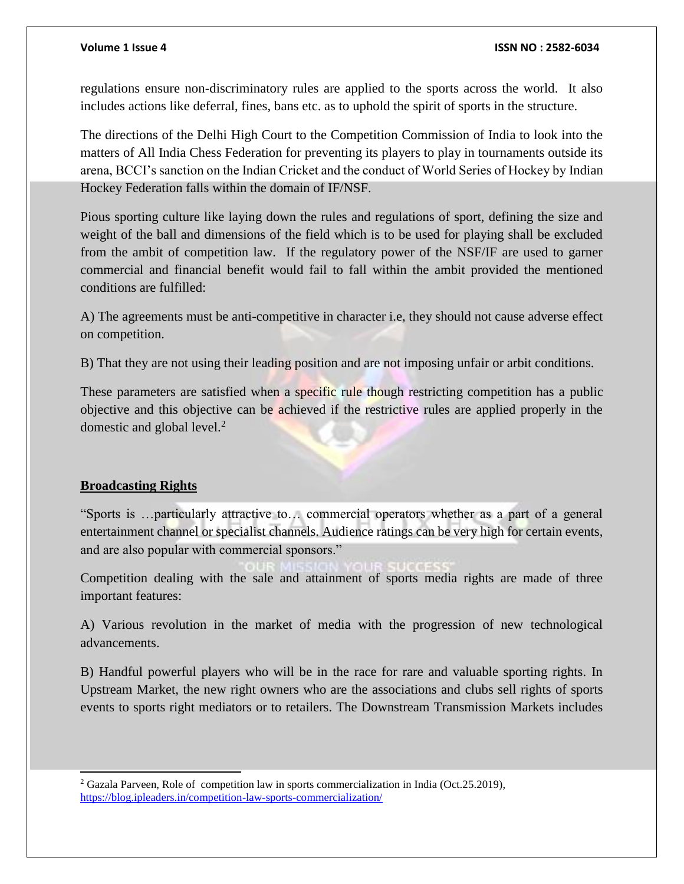regulations ensure non-discriminatory rules are applied to the sports across the world. It also includes actions like deferral, fines, bans etc. as to uphold the spirit of sports in the structure.

The directions of the Delhi High Court to the Competition Commission of India to look into the matters of All India Chess Federation for preventing its players to play in tournaments outside its arena, BCCI's sanction on the Indian Cricket and the conduct of World Series of Hockey by Indian Hockey Federation falls within the domain of IF/NSF.

Pious sporting culture like laying down the rules and regulations of sport, defining the size and weight of the ball and dimensions of the field which is to be used for playing shall be excluded from the ambit of competition law. If the regulatory power of the NSF/IF are used to garner commercial and financial benefit would fail to fall within the ambit provided the mentioned conditions are fulfilled:

A) The agreements must be anti-competitive in character i.e, they should not cause adverse effect on competition.

B) That they are not using their leading position and are not imposing unfair or arbit conditions.

These parameters are satisfied when a specific rule though restricting competition has a public objective and this objective can be achieved if the restrictive rules are applied properly in the domestic and global level.<sup>2</sup>

# **Broadcasting Rights**

j

"Sports is …particularly attractive to… commercial operators whether as a part of a general entertainment channel or specialist channels. Audience ratings can be very high for certain events, and are also popular with commercial sponsors."

Competition dealing with the sale and attainment of sports media rights are made of three important features:

A) Various revolution in the market of media with the progression of new technological advancements.

B) Handful powerful players who will be in the race for rare and valuable sporting rights. In Upstream Market, the new right owners who are the associations and clubs sell rights of sports events to sports right mediators or to retailers. The Downstream Transmission Markets includes

<sup>2</sup> Gazala Parveen, Role of competition law in sports commercialization in India (Oct.25.2019), <https://blog.ipleaders.in/competition-law-sports-commercialization/>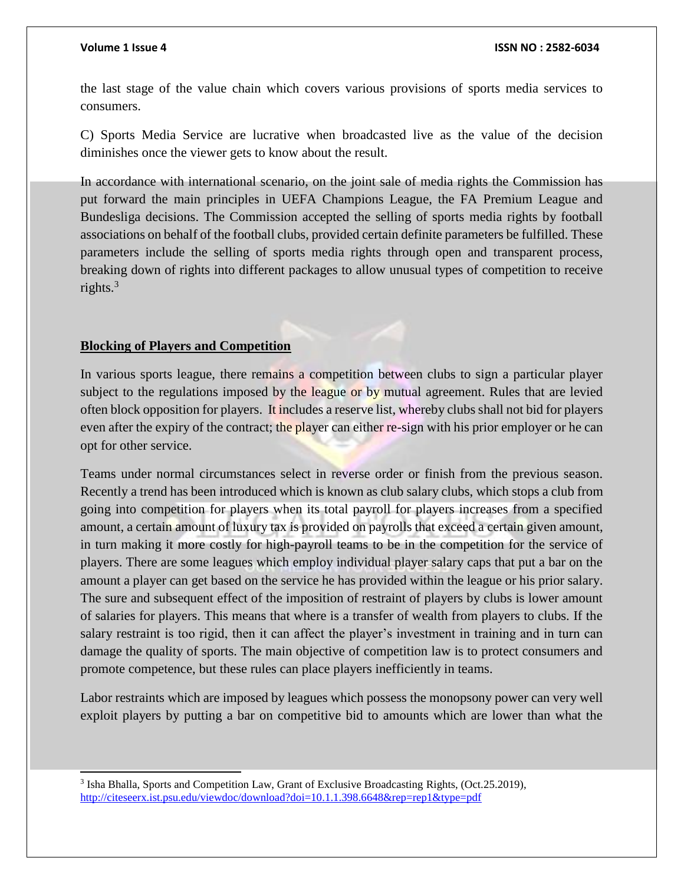j

### **Volume 1 Issue 4 ISSN NO : 2582-6034**

the last stage of the value chain which covers various provisions of sports media services to consumers.

C) Sports Media Service are lucrative when broadcasted live as the value of the decision diminishes once the viewer gets to know about the result.

In accordance with international scenario, on the joint sale of media rights the Commission has put forward the main principles in UEFA Champions League, the FA Premium League and Bundesliga decisions. The Commission accepted the selling of sports media rights by football associations on behalf of the football clubs, provided certain definite parameters be fulfilled. These parameters include the selling of sports media rights through open and transparent process, breaking down of rights into different packages to allow unusual types of competition to receive rights. $3$ 

### **Blocking of Players and Competition**

In various sports league, there remains a competition between clubs to sign a particular player subject to the regulations imposed by the league or by mutual agreement. Rules that are levied often block opposition for players. It includes a reserve list, whereby clubs shall not bid for players even after the expiry of the contract; the player can either re-sign with his prior employer or he can opt for other service.

Teams under normal circumstances select in reverse order or finish from the previous season. Recently a trend has been introduced which is known as club salary clubs, which stops a club from going into competition for players when its total payroll for players increases from a specified amount, a certain amount of luxury tax is provided on payrolls that exceed a certain given amount, in turn making it more costly for high-payroll teams to be in the competition for the service of players. There are some leagues which employ individual player salary caps that put a bar on the amount a player can get based on the service he has provided within the league or his prior salary. The sure and subsequent effect of the imposition of restraint of players by clubs is lower amount of salaries for players. This means that where is a transfer of wealth from players to clubs. If the salary restraint is too rigid, then it can affect the player's investment in training and in turn can damage the quality of sports. The main objective of competition law is to protect consumers and promote competence, but these rules can place players inefficiently in teams.

Labor restraints which are imposed by leagues which possess the monopsony power can very well exploit players by putting a bar on competitive bid to amounts which are lower than what the

<sup>&</sup>lt;sup>3</sup> Isha Bhalla, Sports and Competition Law, Grant of Exclusive Broadcasting Rights, (Oct.25.2019), <http://citeseerx.ist.psu.edu/viewdoc/download?doi=10.1.1.398.6648&rep=rep1&type=pdf>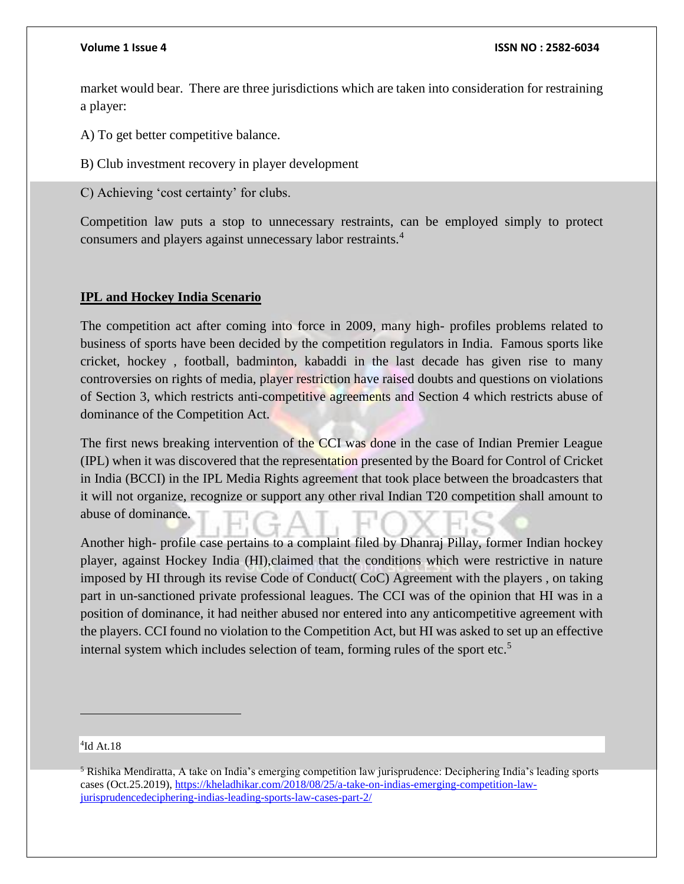### **Volume 1 Issue 4 ISSN NO : 2582-6034**

market would bear. There are three jurisdictions which are taken into consideration for restraining a player:

A) To get better competitive balance.

B) Club investment recovery in player development

C) Achieving 'cost certainty' for clubs.

Competition law puts a stop to unnecessary restraints, can be employed simply to protect consumers and players against unnecessary labor restraints.<sup>4</sup>

# **IPL and Hockey India Scenario**

The competition act after coming into force in 2009, many high- profiles problems related to business of sports have been decided by the competition regulators in India. Famous sports like cricket, hockey , football, badminton, kabaddi in the last decade has given rise to many controversies on rights of media, player restriction have raised doubts and questions on violations of Section 3, which restricts anti-competitive agreements and Section 4 which restricts abuse of dominance of the Competition Act.

The first news breaking intervention of the CCI was done in the case of Indian Premier League (IPL) when it was discovered that the representation presented by the Board for Control of Cricket in India (BCCI) in the IPL Media Rights agreement that took place between the broadcasters that it will not organize, recognize or support any other rival Indian T20 competition shall amount to abuse of dominance.

Another high- profile case pertains to a complaint filed by Dhanraj Pillay, former Indian hockey player, against Hockey India (HI),claimed that the conditions which were restrictive in nature imposed by HI through its revise Code of Conduct( CoC) Agreement with the players , on taking part in un-sanctioned private professional leagues. The CCI was of the opinion that HI was in a position of dominance, it had neither abused nor entered into any anticompetitive agreement with the players. CCI found no violation to the Competition Act, but HI was asked to set up an effective internal system which includes selection of team, forming rules of the sport etc.<sup>5</sup>

### 4 Id At.18

 $\overline{a}$ 

<sup>5</sup> Rishika Mendiratta, A take on India's emerging competition law jurisprudence: Deciphering India's leading sports cases (Oct.25.2019)[, https://kheladhikar.com/2018/08/25/a-take-on-indias-emerging-competition-law](https://kheladhikar.com/2018/08/25/a-take-on-indias-emerging-competition-law-jurisprudencedeciphering-indias-leading-sports-law-cases-part-2/)[jurisprudencedeciphering-indias-leading-sports-law-cases-part-2/](https://kheladhikar.com/2018/08/25/a-take-on-indias-emerging-competition-law-jurisprudencedeciphering-indias-leading-sports-law-cases-part-2/)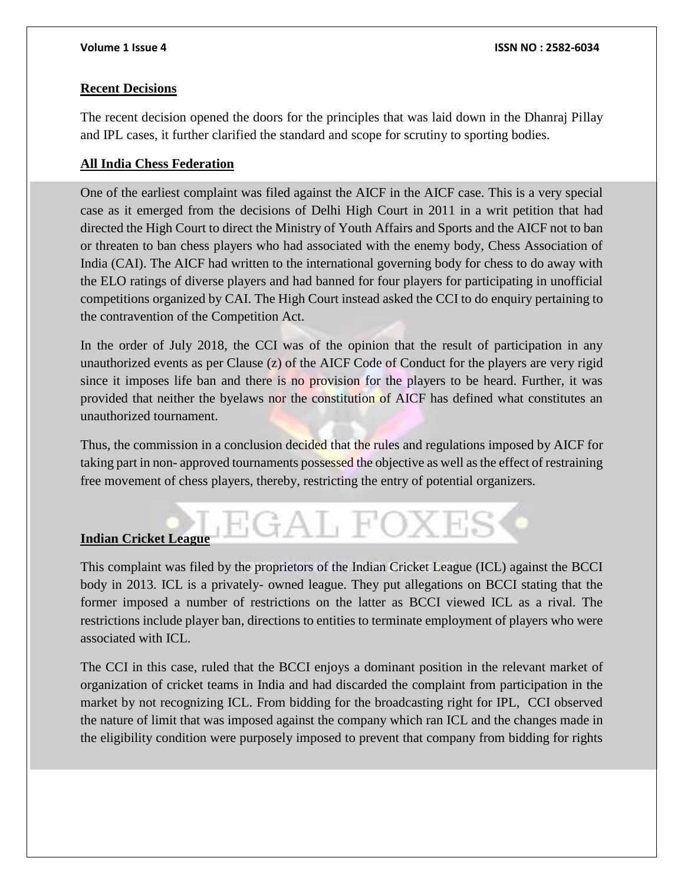# **Recent Decisions**

The recent decision opened the doors for the principles that was laid down in the Dhanraj Pillay and IPL cases, it further clarified the standard and scope for scrutiny to sporting bodies.

# **All India Chess Federation**

One of the earliest complaint was filed against the AICF in the AICF case. This is a very special case as it emerged from the decisions of Delhi High Court in 2011 in a writ petition that had directed the High Court to direct the Ministry of Youth Affairs and Sports and the AICF not to ban or threaten to ban chess players who had associated with the enemy body, Chess Association of India (CAI). The AICF had written to the international governing body for chess to do away with the ELO ratings of diverse players and had banned for four players for participating in unofficial competitions organized by CAI. The High Court instead asked the CCI to do enquiry pertaining to the contravention of the Competition Act.

In the order of July 2018, the CCI was of the opinion that the result of participation in any unauthorized events as per Clause (z) of the AICF Code of Conduct for the players are very rigid since it imposes life ban and there is no provision for the players to be heard. Further, it was provided that neither the byelaws nor the constitution of AICF has defined what constitutes an unauthorized tournament.

Thus, the commission in a conclusion decided that the rules and regulations imposed by AICF for taking part in non- approved tournaments possessed the objective as well as the effect of restraining free movement of chess players, thereby, restricting the entry of potential organizers.

EGAL FOXI

# **Indian Cricket League**

This complaint was filed by the proprietors of the Indian Cricket League (ICL) against the BCCI body in 2013. ICL is a privately- owned league. They put allegations on BCCI stating that the former imposed a number of restrictions on the latter as BCCI viewed ICL as a rival. The restrictions include player ban, directions to entities to terminate employment of players who were associated with ICL.

The CCI in this case, ruled that the BCCI enjoys a dominant position in the relevant market of organization of cricket teams in India and had discarded the complaint from participation in the market by not recognizing ICL. From bidding for the broadcasting right for IPL, CCI observed the nature of limit that was imposed against the company which ran ICL and the changes made in the eligibility condition were purposely imposed to prevent that company from bidding for rights